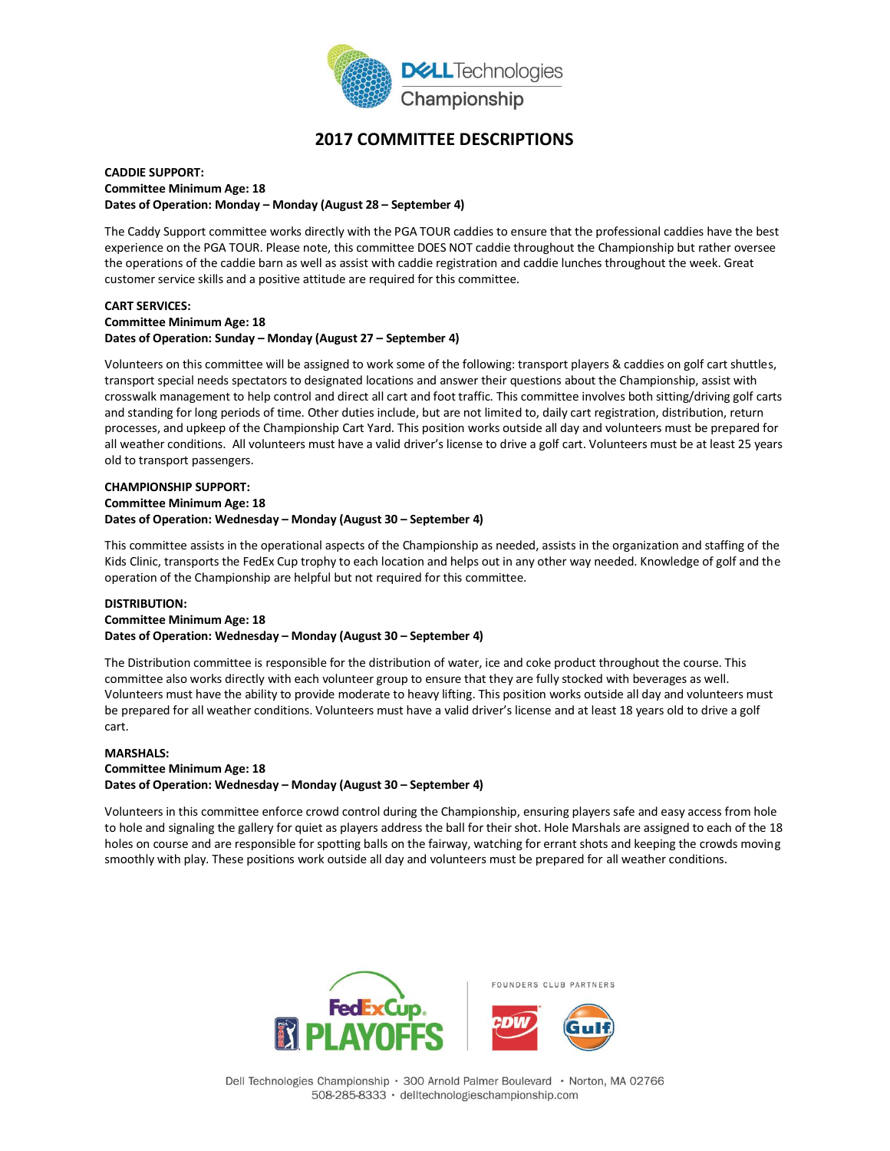

# **2017 COMMITTEE DESCRIPTIONS**

#### **CADDIE SUPPORT: Committee Minimum Age: 18 Dates of Operation: Monday – Monday (August 28 – September 4)**

The Caddy Support committee works directly with the PGA TOUR caddies to ensure that the professional caddies have the best experience on the PGA TOUR. Please note, this committee DOES NOT caddie throughout the Championship but rather oversee the operations of the caddie barn as well as assist with caddie registration and caddie lunches throughout the week. Great customer service skills and a positive attitude are required for this committee.

#### **CART SERVICES: Committee Minimum Age: 18 Dates of Operation: Sunday – Monday (August 27 – September 4)**

Volunteers on this committee will be assigned to work some of the following: transport players & caddies on golf cart shuttles, transport special needs spectators to designated locations and answer their questions about the Championship, assist with crosswalk management to help control and direct all cart and foot traffic. This committee involves both sitting/driving golf carts and standing for long periods of time. Other duties include, but are not limited to, daily cart registration, distribution, return processes, and upkeep of the Championship Cart Yard. This position works outside all day and volunteers must be prepared for all weather conditions. All volunteers must have a valid driver's license to drive a golf cart. Volunteers must be at least 25 years old to transport passengers.

#### **CHAMPIONSHIP SUPPORT: Committee Minimum Age: 18 Dates of Operation: Wednesday – Monday (August 30 – September 4)**

This committee assists in the operational aspects of the Championship as needed, assists in the organization and staffing of the Kids Clinic, transports the FedEx Cup trophy to each location and helps out in any other way needed. Knowledge of golf and the operation of the Championship are helpful but not required for this committee.

#### **DISTRIBUTION: Committee Minimum Age: 18 Dates of Operation: Wednesday – Monday (August 30 – September 4)**

The Distribution committee is responsible for the distribution of water, ice and coke product throughout the course. This committee also works directly with each volunteer group to ensure that they are fully stocked with beverages as well. Volunteers must have the ability to provide moderate to heavy lifting. This position works outside all day and volunteers must be prepared for all weather conditions. Volunteers must have a valid driver's license and at least 18 years old to drive a golf cart.

#### **MARSHALS: Committee Minimum Age: 18 Dates of Operation: Wednesday – Monday (August 30 – September 4)**

Volunteers in this committee enforce crowd control during the Championship, ensuring players safe and easy access from hole to hole and signaling the gallery for quiet as players address the ball for their shot. Hole Marshals are assigned to each of the 18 holes on course and are responsible for spotting balls on the fairway, watching for errant shots and keeping the crowds moving smoothly with play. These positions work outside all day and volunteers must be prepared for all weather conditions.

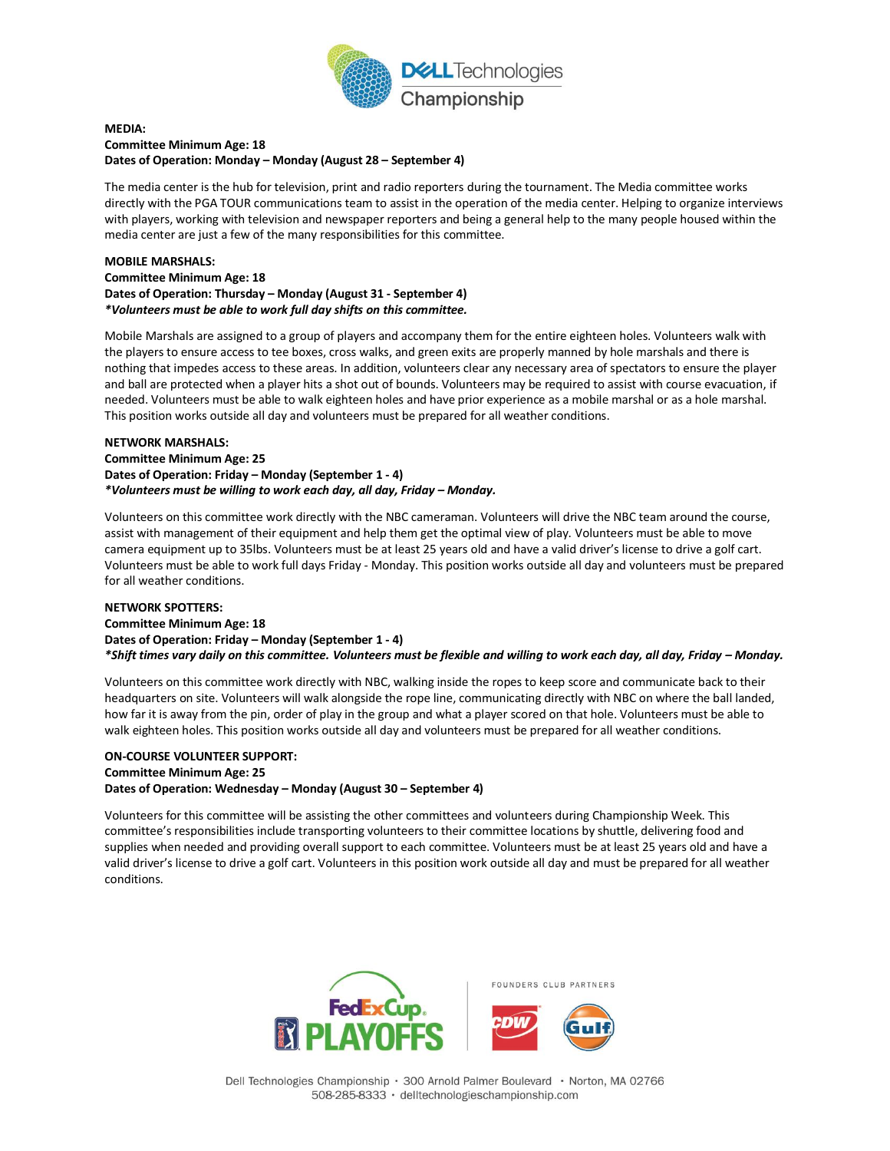

#### **MEDIA: Committee Minimum Age: 18 Dates of Operation: Monday – Monday (August 28 – September 4)**

The media center is the hub for television, print and radio reporters during the tournament. The Media committee works directly with the PGA TOUR communications team to assist in the operation of the media center. Helping to organize interviews with players, working with television and newspaper reporters and being a general help to the many people housed within the media center are just a few of the many responsibilities for this committee.

#### **MOBILE MARSHALS: Committee Minimum Age: 18 Dates of Operation: Thursday – Monday (August 31 - September 4)** *\*Volunteers must be able to work full day shifts on this committee.*

Mobile Marshals are assigned to a group of players and accompany them for the entire eighteen holes. Volunteers walk with the players to ensure access to tee boxes, cross walks, and green exits are properly manned by hole marshals and there is nothing that impedes access to these areas. In addition, volunteers clear any necessary area of spectators to ensure the player and ball are protected when a player hits a shot out of bounds. Volunteers may be required to assist with course evacuation, if needed. Volunteers must be able to walk eighteen holes and have prior experience as a mobile marshal or as a hole marshal. This position works outside all day and volunteers must be prepared for all weather conditions.

#### **NETWORK MARSHALS:**

**Committee Minimum Age: 25 Dates of Operation: Friday – Monday (September 1 - 4)** *\*Volunteers must be willing to work each day, all day, Friday – Monday.* 

Volunteers on this committee work directly with the NBC cameraman. Volunteers will drive the NBC team around the course, assist with management of their equipment and help them get the optimal view of play. Volunteers must be able to move camera equipment up to 35lbs. Volunteers must be at least 25 years old and have a valid driver's license to drive a golf cart. Volunteers must be able to work full days Friday - Monday. This position works outside all day and volunteers must be prepared for all weather conditions.

# **NETWORK SPOTTERS: Committee Minimum Age: 18 Dates of Operation: Friday – Monday (September 1 - 4)** *\*Shift times vary daily on this committee. Volunteers must be flexible and willing to work each day, all day, Friday – Monday.*

Volunteers on this committee work directly with NBC, walking inside the ropes to keep score and communicate back to their headquarters on site. Volunteers will walk alongside the rope line, communicating directly with NBC on where the ball landed, how far it is away from the pin, order of play in the group and what a player scored on that hole. Volunteers must be able to walk eighteen holes. This position works outside all day and volunteers must be prepared for all weather conditions.

# **ON-COURSE VOLUNTEER SUPPORT: Committee Minimum Age: 25 Dates of Operation: Wednesday – Monday (August 30 – September 4)**

Volunteers for this committee will be assisting the other committees and volunteers during Championship Week. This committee's responsibilities include transporting volunteers to their committee locations by shuttle, delivering food and supplies when needed and providing overall support to each committee. Volunteers must be at least 25 years old and have a valid driver's license to drive a golf cart. Volunteers in this position work outside all day and must be prepared for all weather conditions.

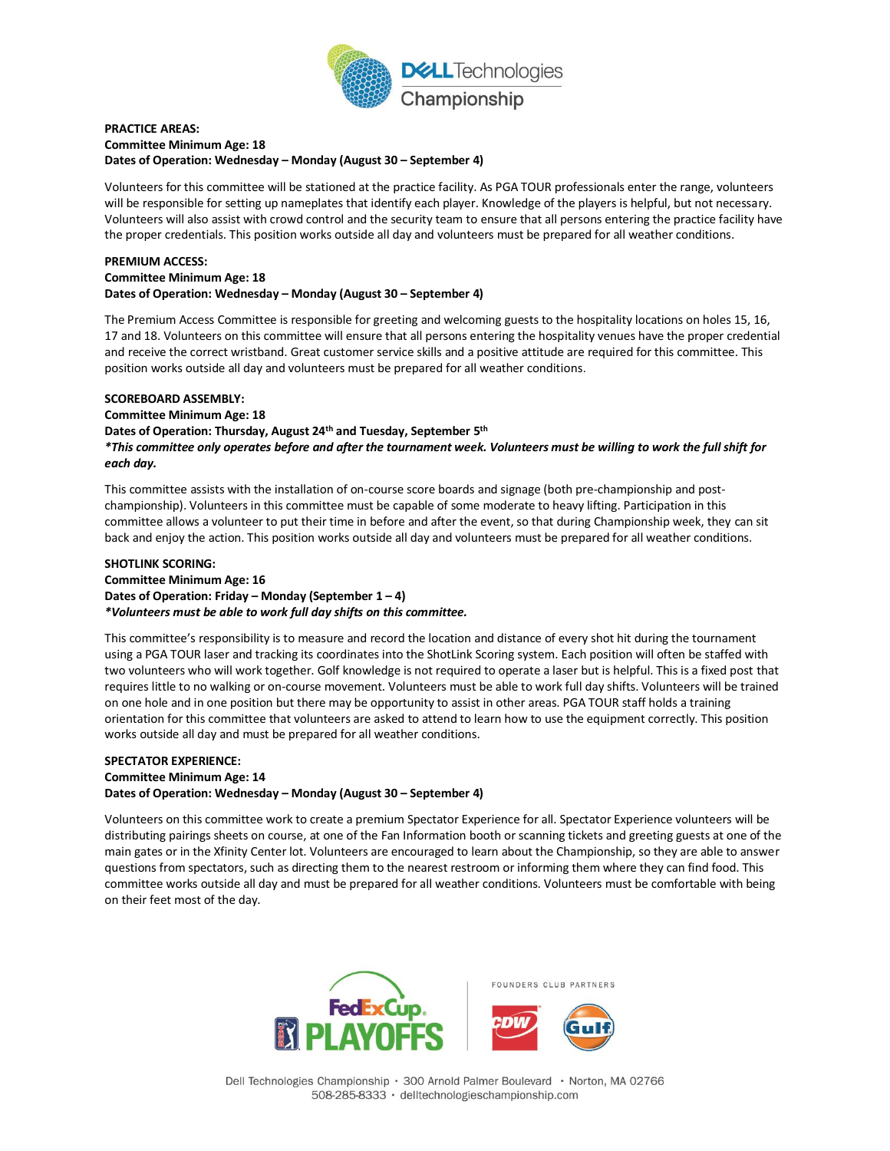

#### **PRACTICE AREAS: Committee Minimum Age: 18 Dates of Operation: Wednesday – Monday (August 30 – September 4)**

Volunteers for this committee will be stationed at the practice facility. As PGA TOUR professionals enter the range, volunteers will be responsible for setting up nameplates that identify each player. Knowledge of the players is helpful, but not necessary. Volunteers will also assist with crowd control and the security team to ensure that all persons entering the practice facility have the proper credentials. This position works outside all day and volunteers must be prepared for all weather conditions.

# **PREMIUM ACCESS: Committee Minimum Age: 18 Dates of Operation: Wednesday – Monday (August 30 – September 4)**

The Premium Access Committee is responsible for greeting and welcoming guests to the hospitality locations on holes 15, 16, 17 and 18. Volunteers on this committee will ensure that all persons entering the hospitality venues have the proper credential and receive the correct wristband. Great customer service skills and a positive attitude are required for this committee. This position works outside all day and volunteers must be prepared for all weather conditions.

#### **SCOREBOARD ASSEMBLY:**

**Committee Minimum Age: 18** 

**Dates of Operation: Thursday, August 24th and Tuesday, September 5th** *\*This committee only operates before and after the tournament week. Volunteers must be willing to work the full shift for each day.* 

This committee assists with the installation of on-course score boards and signage (both pre-championship and postchampionship). Volunteers in this committee must be capable of some moderate to heavy lifting. Participation in this committee allows a volunteer to put their time in before and after the event, so that during Championship week, they can sit back and enjoy the action. This position works outside all day and volunteers must be prepared for all weather conditions.

#### **SHOTLINK SCORING: Committee Minimum Age: 16 Dates of Operation: Friday – Monday (September 1 – 4)** *\*Volunteers must be able to work full day shifts on this committee.*

This committee's responsibility is to measure and record the location and distance of every shot hit during the tournament using a PGA TOUR laser and tracking its coordinates into the ShotLink Scoring system. Each position will often be staffed with two volunteers who will work together. Golf knowledge is not required to operate a laser but is helpful. This is a fixed post that requires little to no walking or on-course movement. Volunteers must be able to work full day shifts. Volunteers will be trained on one hole and in one position but there may be opportunity to assist in other areas. PGA TOUR staff holds a training orientation for this committee that volunteers are asked to attend to learn how to use the equipment correctly. This position works outside all day and must be prepared for all weather conditions.

# **SPECTATOR EXPERIENCE: Committee Minimum Age: 14 Dates of Operation: Wednesday – Monday (August 30 – September 4)**

Volunteers on this committee work to create a premium Spectator Experience for all. Spectator Experience volunteers will be distributing pairings sheets on course, at one of the Fan Information booth or scanning tickets and greeting guests at one of the main gates or in the Xfinity Center lot. Volunteers are encouraged to learn about the Championship, so they are able to answer questions from spectators, such as directing them to the nearest restroom or informing them where they can find food. This committee works outside all day and must be prepared for all weather conditions. Volunteers must be comfortable with being on their feet most of the day.